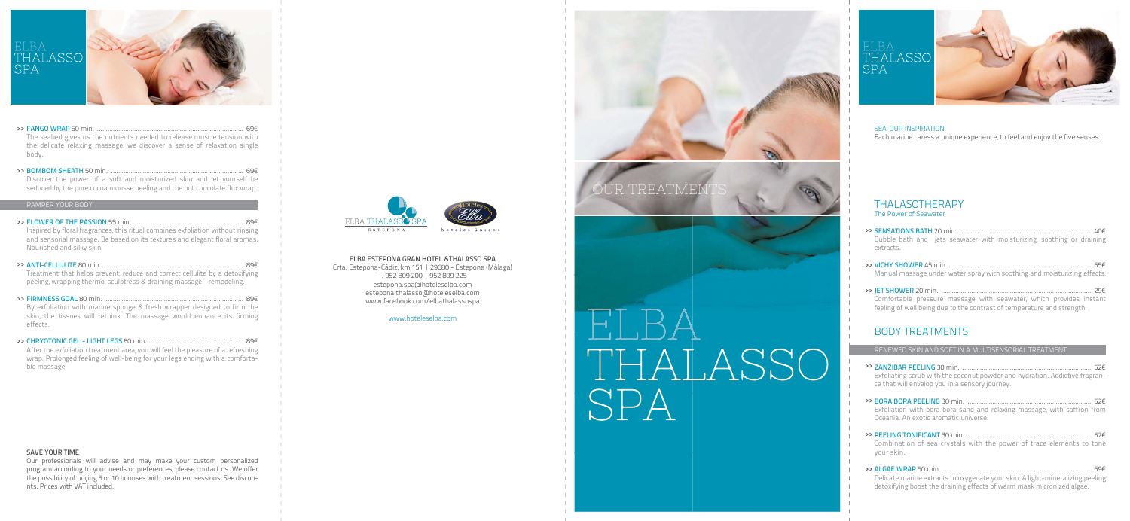

#### >> FANGO WRAP 50 min. ................................................................................... 69€

The seabed gives us the nutrients needed to release muscle tension with the delicate relaxing massage, we discover a sense of relaxation single body.

>> BOMBOM SHEATH 50 min. ........................................................................... 69€ Discover the power of a soft and moisturized skin and let yourself be seduced by the pure cocoa mousse peeling and the hot chocolate flux wrap.

## >> FLOWER OF THE PASSION 55 min. .............................................................. 89€

>> ANTI-CELLULITE 80 min. ............................................................................... 89€

#### PAMPER YOUR BODY

>> FIRMNESS GOAL 80 min. ............................................................................... 89€

Inspired by floral fragrances, this ritual combines exfoliation without rinsing and sensorial massage. Be based on its textures and elegant floral aromas. Nourished and silky skin.

>> CHRYOTONIC GEL - LIGHT LEGS 80 min. ..................................................... 89€ After the exfoliation treatment area, you will feel the pleasure of a refreshing wrap. Prolonged feeling of well-being for your legs ending with a comfortable massage.



Treatment that helps prevent, reduce and correct cellulite by a detoxifying peeling, wrapping thermo-sculptress & draining massage - remodeling.

By exfoliation with marine sponge & fresh wrapper designed to firm the skin, the tissues will rethink. The massage would enhance its firming effects.

#### SAVE YOUR TIME

Our professionals will advise and may make your custom personalized program according to your needs or preferences, please contact us. We offer the possibility of buying 5 or 10 bonuses with treatment sessions. See discounts. Prices with VAT included.









#### SEA, OUR INSPIRATION

Each marine caress a unique experience, to feel and enjoy the five senses.

## THALASOTHERAPY

The Power of Seawater

- >> SENSATIONS BATH 20 min. ........................................................................... 40€ Bubble bath and jets seawater with moisturizing, soothing or draining extracts.
- >> VICHY SHOWER 45 min. ................................................................................ 65€ Manual massage under water spray with soothing and moisturizing effects.
- >> JET SHOWER 20 min. ..................................................................................... 29€ Comfortable pressure massage with seawater, which provides instant feeling of well being due to the contrast of temperature and strength.

## BODY TREATMENTS

#### RENEWED SKIN AND SOFT IN A MULTISENSORIAL TREATMENT

- >> ZANZIBAR PEELING 30 min. ......................................................................... 52€ Exfoliating scrub with the coconut powder and hydration. Addictive fragrance that will envelop you in a sensory journey.
- >> BORA BORA PEELING 30 min. ...................................................................... 52€ Exfoliation with bora bora sand and relaxing massage, with saffron from Oceania. An exotic aromatic universe.
- >> PEELING TONIFICANT 30 min. ...................................................................... 52€ Combination of sea crystals with the power of trace elements to tone your skin.
- >> ALGAE WRAP 50 min. .................................................................................... 69€ Delicate marine extracts to oxygenate your skin. A light-mineralizing peeling detoxifying boost the draining effects of warm mask micronized algae.

ELBA ESTEPONA GRAN HOTEL &THALASSO SPA Crta. Estepona-Cádiz, km 151 | 29680 - Estepona (Málaga) T. 952 809 200 | 952 809 225 estepona.spa@hoteleselba.com estepona.thalasso@hoteleselba.com www.facebook.com/elbathalassospa

www.hoteleselba.com

# DUR TREATME

# THALASSO **SPA**